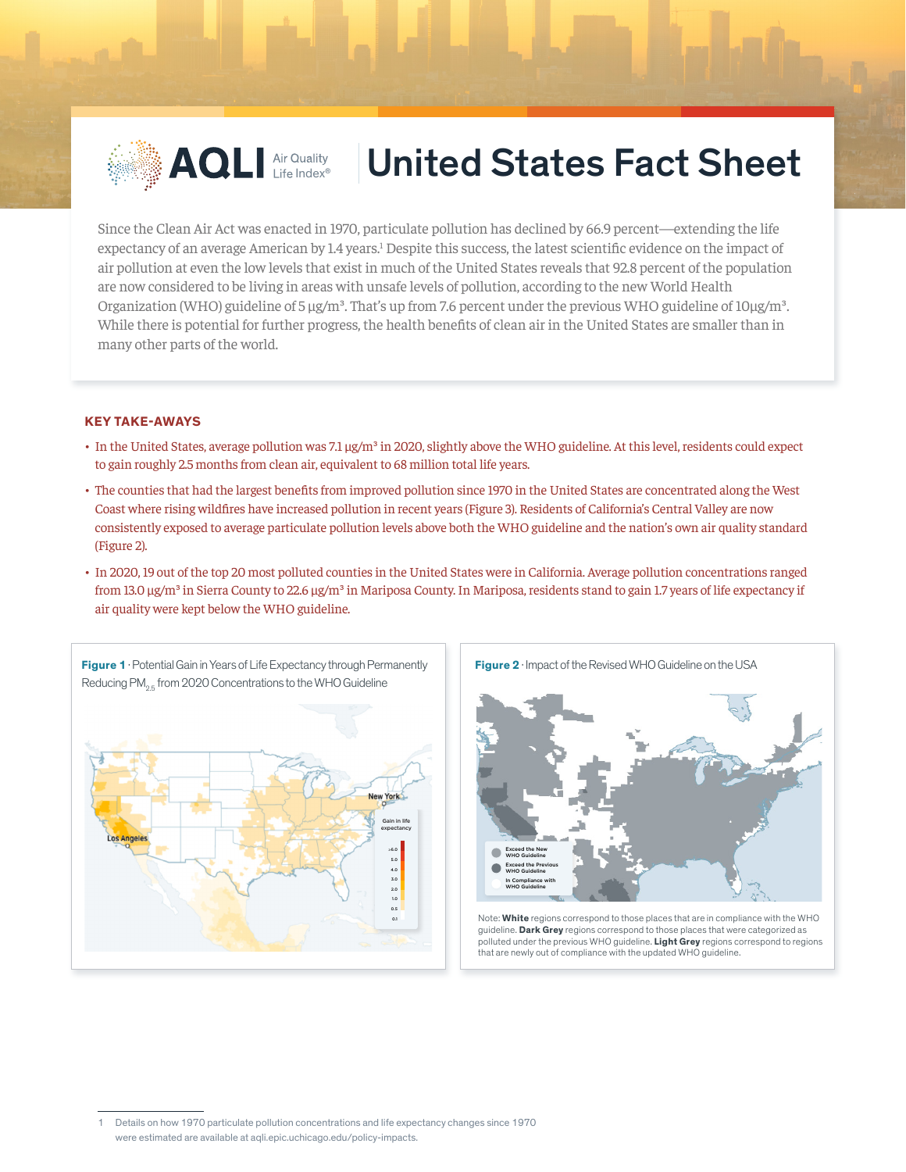

# **AQLI** Air Quality | United States Fact Sheet

Since the Clean Air Act was enacted in 1970, particulate pollution has declined by 66.9 percent—extending the life expectancy of an average American by 1.4 years.<sup>1</sup> Despite this success, the latest scientific evidence on the impact of air pollution at even the low levels that exist in much of the United States reveals that 92.8 percent of the population are now considered to be living in areas with unsafe levels of pollution, according to the new World Health Organization (WHO) guideline of 5  $\mu$ g/m<sup>3</sup>. That's up from 7.6 percent under the previous WHO guideline of  $10\mu$ g/m<sup>3</sup>. While there is potential for further progress, the health benefits of clean air in the United States are smaller than in many other parts of the world. 2

### **KEY TAKE-AWAYS**

- In the United States, average pollution was 7.1 µg/m<sup>3</sup> in 2020, slightly above the WHO guideline. At this level, residents could expect to gain roughly 2.5 months from clean air, equivalent to 68 million total life years.
- The counties that had the largest benefits from improved pollution since 1970 in the United States are concentrated along the West Coast where rising wildfires have increased pollution in recent years (Figure 3). Residents of California's Central Valley are now consistently exposed to average particulate pollution levels above both the WHO guideline and the nation's own air quality standard (Figure 2).
- In 2020, 19 out of the top 20 most polluted counties in the United States were in California. Average pollution concentrations ranged from 13.0 μg/m<sup>3</sup> in Sierra County to 22.6 μg/m<sup>3</sup> in Mariposa County. In Mariposa, residents stand to gain 1.7 years of life expectancy if air quality were kept below the WHO guideline.





Note: **White** regions correspond to those places that are in compliance with the WHO guideline. **Dark Grey** regions correspond to those places that were categorized as polluted under the previous WHO guideline. **Light Grey** regions correspond to regions that are newly out of compliance with the updated WHO guideline.

<sup>1</sup> Details on how 1970 particulate pollution concentrations and life expectancy changes since 1970 were estimated are available at aqli.epic.uchicago.edu/policy-impacts.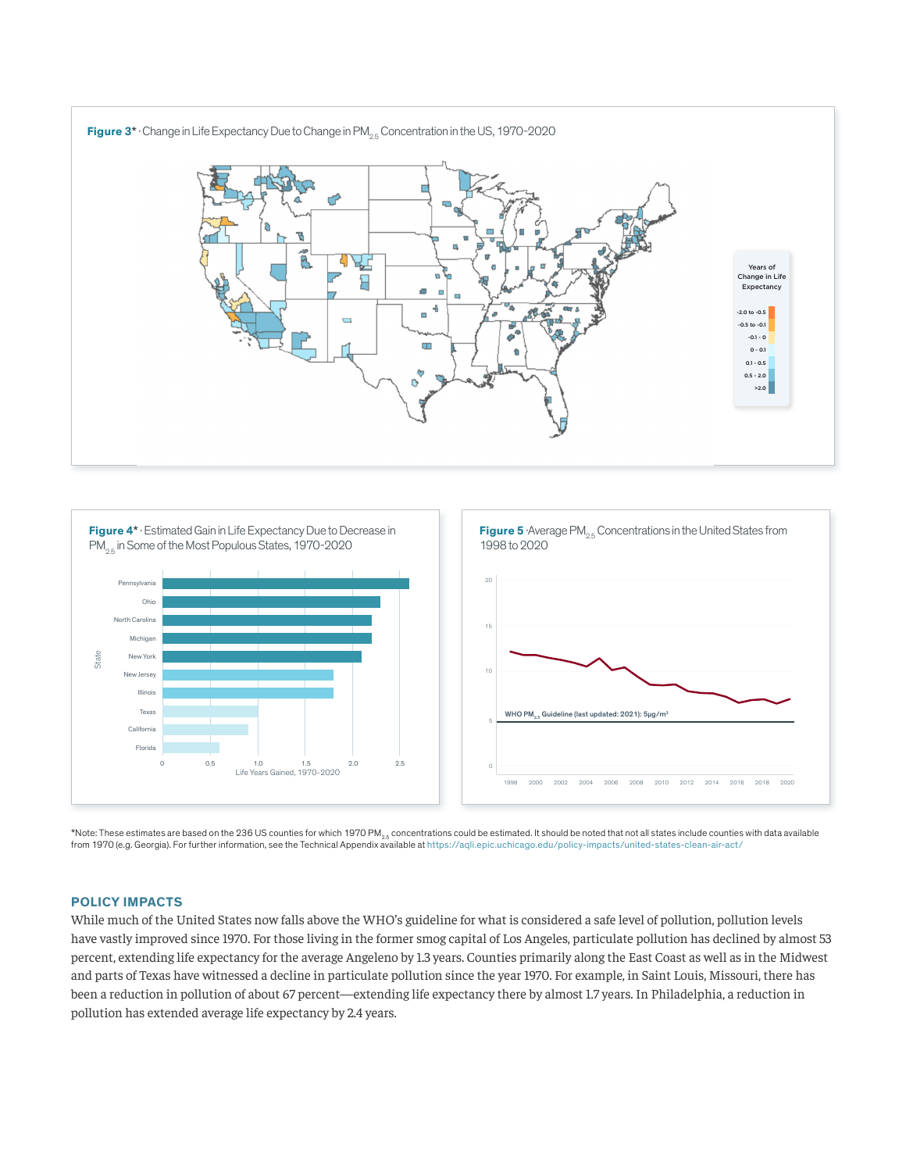



\*Note: These estimates are based on the 236 US counties for which 1970 PM $_{2.5}$  concentrations could be estimated. It should be noted that not all states include counties with data available from 1970 (e.g. Georgia). For further information, see the Technical Appendix available at https://aqli.epic.uchicago.edu/policy-impacts/united-states-clean-air-act/

## **POLICY IMPACTS**

While much of the United States now falls above the WHO's guideline for what is considered a safe level of pollution, pollution levels have vastly improved since 1970. For those living in the former smog capital of Los Angeles, particulate pollution has declined by almost 53 percent, extending life expectancy for the average Angeleno by 1.3 years. Counties primarily along the East Coast as well as in the Midwest and parts of Texas have witnessed a decline in particulate pollution since the year 1970. For example, in Saint Louis, Missouri, there has been a reduction in pollution of about 67 percent—extending life expectancy there by almost 1.7 years. In Philadelphia, a reduction in pollution has extended average life expectancy by 2.4 years.